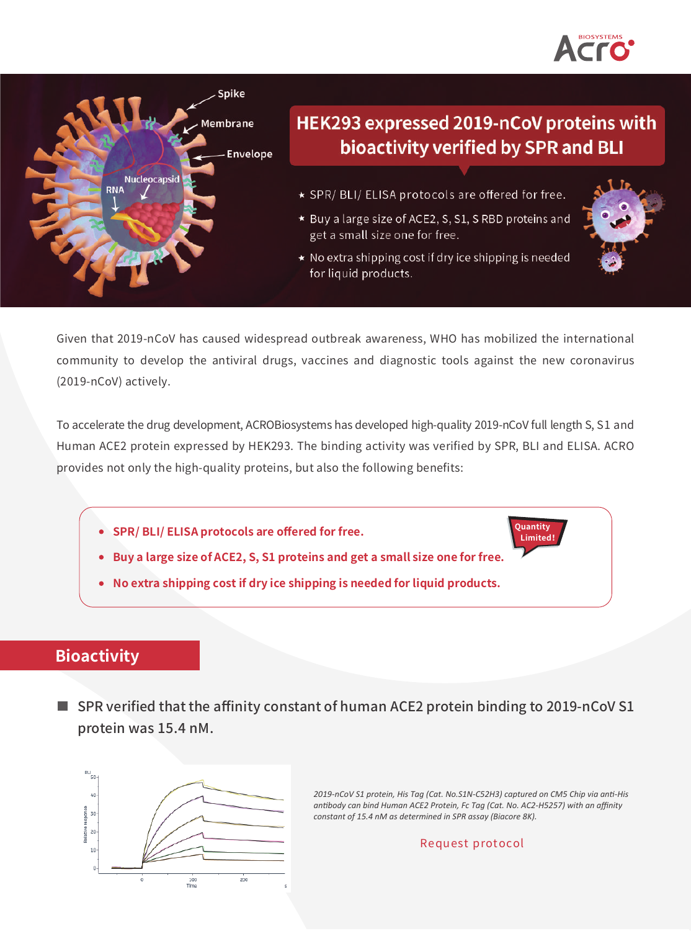



# HEK293 expressed 2019-nCoV proteins with bioactivity verified by SPR and BLI

- \* SPR/ BLI/ ELISA protocols are offered for free.
- \* Buy a large size of ACE2, S, S1, SRBD proteins and get a small size one for free.
- \* No extra shipping cost if dry ice shipping is needed for liquid products.



Given that 2019-nCoV has caused widespread outbreak awareness, WHO has mobilized the international community to develop the antiviral drugs, vaccines and diagnostic tools against the new coronavirus (2019-nCoV) actively.

To accelerate the drug development, ACROBiosystems has developed high-quality 2019-nCoV full length S, S1 and Human ACE2 protein expressed by HEK293. The binding activity was verified by SPR, BLI and ELISA. ACRO provides not only the high-quality proteins, but also the following benefits:

- **SPR/ BLI/ ELISA protocols are offered for free.**
- **Buy a large size of ACE2, S, S1 proteins and get a small size one for free.**
- **No extra shipping cost if dry ice shipping is needed for liquid products.**

## **Bioactivity**

■ [SPR verified that the affinity constant of human ACE2 protein binding to 2019-nCoV S1](https://www.acrobiosystems.com/P3103-2019-nCoV-S1-protein-His-Tag.html?utm_source=flyer&utm_medium=flyer&utm_campaign=ncov&utm_content=protocol&utm_term=S1N-C52H3) protein was 15.4 nM.



*2019-nCoV S1 protein, His Tag (Cat. No.S1N-C52H3) captured on CM5 Chip via anti-His antibody can bind Human ACE2 Protein, Fc Tag (Cat. No. AC2-H5257) with an affinity constant of 15.4 nM as determined in SPR assay (Biacore 8K).*

**Quantity Limited!**

Request protocol